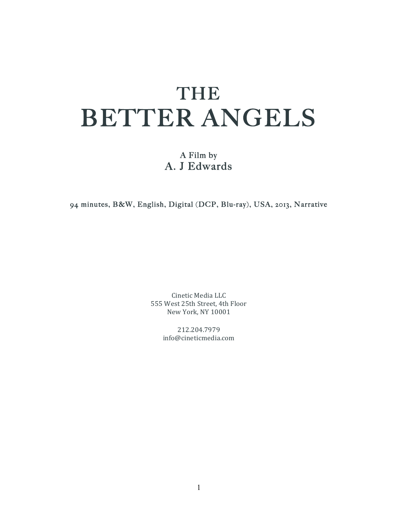# THE BETTER ANGELS

A Film by A. J Edwards

94 minutes, B&W, English, Digital (DCP, Blu-ray), USA, 2013, Narrative

Cinetic Media LLC 555 West 25th Street, 4th Floor New York, NY 10001

> 212.204.7979 info@cineticmedia.com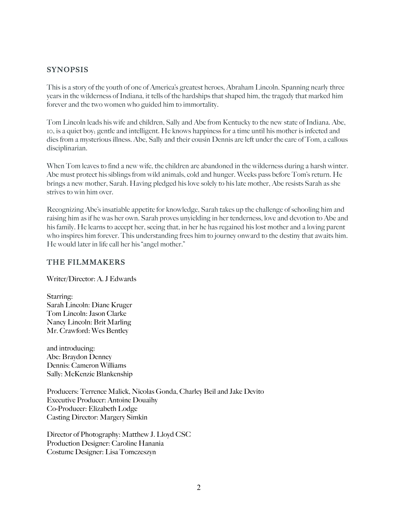#### SYNOPSIS

This is a story of the youth of one of America's greatest heroes, Abraham Lincoln. Spanning nearly three years in the wilderness of Indiana, it tells of the hardships that shaped him, the tragedy that marked him forever and the two women who guided him to immortality.

Tom Lincoln leads his wife and children, Sally and Abe from Kentucky to the new state of Indiana. Abe, 10, is a quiet boy; gentle and intelligent. He knows happiness for a time until his mother is infected and dies from a mysterious illness. Abe, Sally and their cousin Dennis are left under the care of Tom, a callous disciplinarian.

When Tom leaves to find a new wife, the children are abandoned in the wilderness during a harsh winter. Abe must protect his siblings from wild animals, cold and hunger. Weeks pass before Tom's return. He brings a new mother, Sarah. Having pledged his love solely to his late mother, Abe resists Sarah as she strives to win him over.

Recognizing Abe's insatiable appetite for knowledge, Sarah takes up the challenge of schooling him and raising him as if he was her own. Sarah proves unyielding in her tenderness, love and devotion to Abe and his family. He learns to accept her, seeing that, in her he has regained his lost mother and a loving parent who inspires him forever. This understanding frees him to journey onward to the destiny that awaits him. He would later in life call her his "angel mother."

#### THE FILMMAKERS

Writer/Director: A. J Edwards

Starring: Sarah Lincoln: Diane Kruger Tom Lincoln: Jason Clarke Nancy Lincoln: Brit Marling Mr. Crawford: Wes Bentley

and introducing: Abe: Braydon Denney Dennis: Cameron Williams Sally: McKenzie Blankenship

Producers: Terrence Malick, Nicolas Gonda, Charley Beil and Jake Devito Executive Producer: Antoine Douaihy Co-Producer: Elizabeth Lodge Casting Director: Margery Simkin

Director of Photography: Matthew J. Lloyd CSC Production Designer: Caroline Hanania Costume Designer: Lisa Tomczeszyn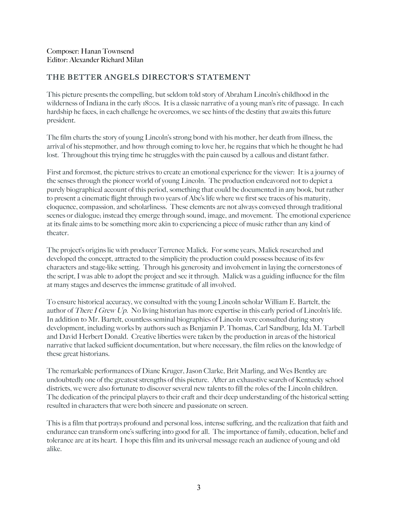# THE BETTER ANGELS DIRECTOR'S STATEMENT

This picture presents the compelling, but seldom told story of Abraham Lincoln's childhood in the wilderness of Indiana in the early 1800s. It is a classic narrative of a young man's rite of passage. In each hardship he faces, in each challenge he overcomes, we see hints of the destiny that awaits this future president.

The film charts the story of young Lincoln's strong bond with his mother, her death from illness, the arrival of his stepmother, and how through coming to love her, he regains that which he thought he had lost. Throughout this trying time he struggles with the pain caused by a callous and distant father.

First and foremost, the picture strives to create an emotional experience for the viewer: It is a journey of the senses through the pioneer world of young Lincoln. The production endeavored not to depict a purely biographical account of this period, something that could be documented in any book, but rather to present a cinematic flight through two years of Abe's life where we first see traces of his maturity, eloquence, compassion, and scholarliness. These elements are not always conveyed through traditional scenes or dialogue; instead they emerge through sound, image, and movement. The emotional experience at its finale aims to be something more akin to experiencing a piece of music rather than any kind of theater.

The project's origins lie with producer Terrence Malick. For some years, Malick researched and developed the concept, attracted to the simplicity the production could possess because of its few characters and stage-like setting. Through his generosity and involvement in laying the cornerstones of the script, I was able to adopt the project and see it through. Malick was a guiding influence for the film at many stages and deserves the immense gratitude of all involved.

To ensure historical accuracy, we consulted with the young Lincoln scholar William E. Bartelt, the author of There I Grew Up. No living historian has more expertise in this early period of Lincoln's life. In addition to Mr. Bartelt, countless seminal biographies of Lincoln were consulted during story development, including works by authors such as Benjamin P. Thomas, Carl Sandburg, Ida M. Tarbell and David Herbert Donald. Creative liberties were taken by the production in areas of the historical narrative that lacked sufficient documentation, but where necessary, the film relies on the knowledge of these great historians.

The remarkable performances of Diane Kruger, Jason Clarke, Brit Marling, and Wes Bentley are undoubtedly one of the greatest strengths of this picture. After an exhaustive search of Kentucky school districts, we were also fortunate to discover several new talents to fill the roles of the Lincoln children. The dedication of the principal players to their craft and their deep understanding of the historical setting resulted in characters that were both sincere and passionate on screen.

This is a film that portrays profound and personal loss, intense suffering, and the realization that faith and endurance can transform one's suffering into good for all. The importance of family, education, belief and tolerance are at its heart. I hope this film and its universal message reach an audience of young and old alike.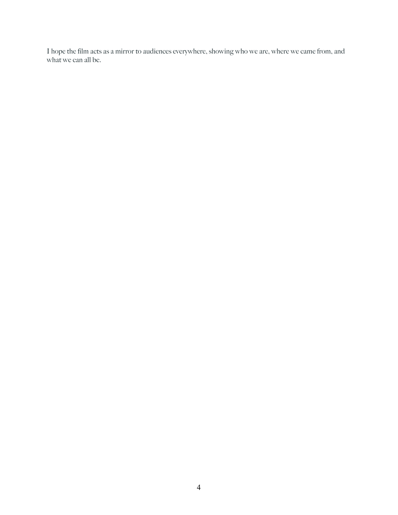I hope the film acts as a mirror to audiences everywhere, showing who we are, where we came from, and what we can all be.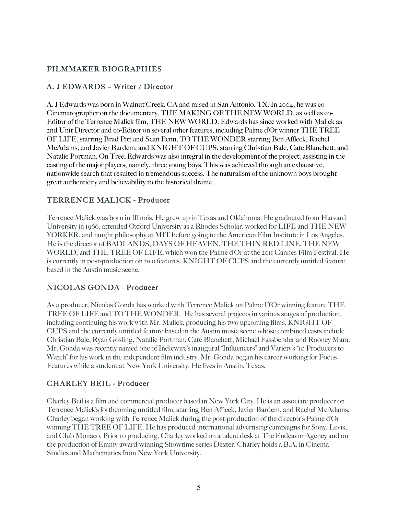# FILMMAKER BIOGRAPHIES

#### A. J EDWARDS – Writer / Director

A. J Edwards was born in Walnut Creek, CA and raised in San Antonio, TX. In 2004, he was co-Cinematographer on the documentary, THE MAKING OF THE NEW WORLD, as well as co-Editor of the Terrence Malick film, THE NEW WORLD. Edwards has since worked with Malick as 2nd Unit Director and co-Editor on several other features, including Palme d'Or winner THE TREE OF LIFE, starring Brad Pitt and Sean Penn, TO THE WONDER starring Ben Affleck, Rachel McAdams, and Javier Bardem, and KNIGHT OF CUPS, starring Christian Bale, Cate Blanchett, and Natalie Portman. On Tree, Edwards was also integral in the development of the project, assisting in the casting of the major players, namely, three young boys. This was achieved through an exhaustive, nationwide search that resulted in tremendous success. The naturalism of the unknown boys brought great authenticity and believability to the historical drama.

#### TERRENCE MALICK - Producer

Terrence Malick was born in Illinois. He grew up in Texas and Oklahoma. He graduated from Harvard University in 1966, attended Oxford University as a Rhodes Scholar, worked for LIFE and THE NEW YORKER, and taught philosophy at MIT before going to the American Film Institute in Los Angeles. He is the director of BADLANDS, DAYS OF HEAVEN, THE THIN RED LINE, THE NEW WORLD, and THE TREE OF LIFE, which won the Palme d'Or at the 2011 Cannes Film Festival. He is currently in post-production on two features, KNIGHT OF CUPS and the currently untitled feature based in the Austin music scene.

# NICOLAS GONDA - Producer

As a producer, Nicolas Gonda has worked with Terrence Malick on Palme D'Or winning feature THE TREE OF LIFE and TO THE WONDER. He has several projects in various stages of production, including continuing his work with Mr. Malick, producing his two upcoming films, KNIGHT OF CUPS and the currently untitled feature based in the Austin music scene whose combined casts include Christian Bale, Ryan Gosling, Natalie Portman, Cate Blanchett, Michael Fassbender and Rooney Mara. Mr. Gonda was recently named one of Indiewire's inaugural "Influencers" and Variety's "10 Producers to Watch" for his work in the independent film industry. Mr. Gonda began his career working for Focus Features while a student at New York University. He lives in Austin, Texas.

# CHARLEY BEIL - Producer

Charley Beil is a film and commercial producer based in New York City. He is an associate producer on Terrence Malick's forthcoming untitled film, starring Ben Affleck, Javier Bardem, and Rachel McAdams. Charley began working with Terrence Malick during the post-production of the director's Palme d'Or winning THE TREE OF LIFE. He has produced international advertising campaigns for Sony, Levis, and Club Monaco. Prior to producing, Charley worked on a talent desk at The Endeavor Agency and on the production of Emmy award-winning Showtime series Dexter. Charley holds a B.A. in Cinema Studies and Mathematics from New York University.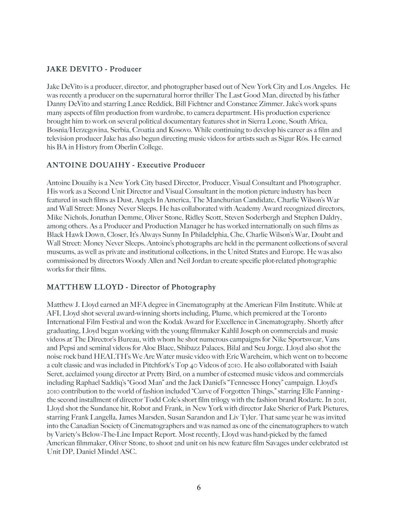# JAKE DEVITO - Producer

Jake DeVito is a producer, director, and photographer based out of New York City and Los Angeles. He was recently a producer on the supernatural horror thriller The Last Good Man, directed by his father Danny DeVito and starring Lance Reddick, Bill Fichtner and Constance Zimmer. Jake's work spans many aspects of film production from wardrobe, to camera department. His production experience brought him to work on several political documentary features shot in Sierra Leone, South Africa, Bosnia/Herzegovina, Serbia, Croatia and Kosovo. While continuing to develop his career as a film and television producer Jake has also begun directing music videos for artists such as Sigur Rós. He earned his BA in History from Oberlin College.

#### ANTOINE DOUAIHY - Executive Producer

Antoine Douaihy is a New York City based Director, Producer, Visual Consultant and Photographer. His work as a Second Unit Director and Visual Consultant in the motion picture industry has been featured in such films as Dust, Angels In America, The Manchurian Candidate, Charlie Wilson's War and Wall Street: Money Never Sleeps. He has collaborated with Academy Award recognized directors, Mike Nichols, Jonathan Demme, Oliver Stone, Ridley Scott, Steven Soderbergh and Stephen Daldry, among others. As a Producer and Production Manager he has worked internationally on such films as Black Hawk Down, Closer, It's Always Sunny In Philadelphia, Che, Charlie Wilson's War, Doubt and Wall Street: Money Never Sleeps. Antoine's photographs are held in the permanent collections of several museums, as well as private and institutional collections, in the United States and Europe. He was also commissioned by directors Woody Allen and Neil Jordan to create specific plot-related photographic works for their films.

# MATTHEW LLOYD - Director of Photography

Matthew J. Lloyd earned an MFA degree in Cinematography at the American Film Institute. While at AFI, Lloyd shot several award-winning shorts including, Plume, which premiered at the Toronto International Film Festival and won the Kodak Award for Excellence in Cinematography. Shortly after graduating, Lloyd began working with the young filmmaker Kahlil Joseph on commercials and music videos at The Director's Bureau, with whom he shot numerous campaigns for Nike Sportswear, Vans and Pepsi and seminal videos for Aloe Blacc, Shibazz Palaces, Bilal and Seu Jorge. Lloyd also shot the noise rock band HEALTH's We Are Water music video with Eric Wareheim, which went on to become a cult classic and was included in Pitchfork's Top 40 Videos of 2010. He also collaborated with Isaiah Seret, acclaimed young director at Pretty Bird, on a number of esteemed music videos and commercials including Raphael Saddiq's "Good Man" and the Jack Daniel's "Tennessee Honey" campaign. Lloyd's 2010 contribution to the world of fashion included "Curve of Forgotten Things," starring Elle Fanning the second installment of director Todd Cole's short film trilogy with the fashion brand Rodarte. In 2011, Lloyd shot the Sundance hit, Robot and Frank, in New York with director Jake Sherier of Park Pictures, starring Frank Langella, James Marsden, Susan Sarandon and Liv Tyler. That same year he was invited into the Canadian Society of Cinematographers and was named as one of the cinematographers to watch by Variety's Below-The-Line Impact Report. Most recently, Lloyd was hand-picked by the famed American filmmaker, Oliver Stone, to shoot 2nd unit on his new feature film Savages under celebrated 1st Unit DP, Daniel Mindel ASC.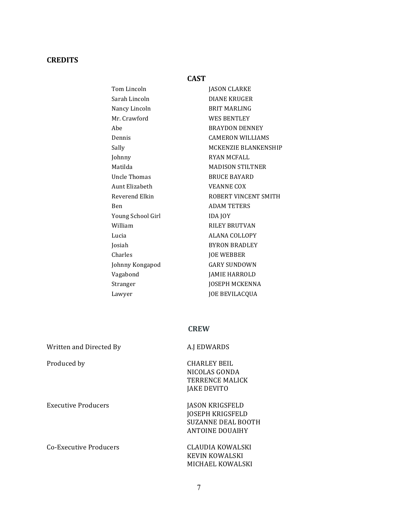# **CREDITS**

#### **CAST**

| Tom Lincoln       | <b>JASON CLARKE</b>     |
|-------------------|-------------------------|
| Sarah Lincoln     | <b>DIANE KRUGER</b>     |
| Nancy Lincoln     | <b>BRIT MARLING</b>     |
| Mr. Crawford      | <b>WES BENTLEY</b>      |
| Ahe               | <b>BRAYDON DENNEY</b>   |
| Dennis            | <b>CAMERON WILLIAMS</b> |
| Sally             | MCKENZIE BLANKENSHIP    |
| Johnny            | <b>RYAN MCFALL</b>      |
| Matilda           | <b>MADISON STILTNER</b> |
| Uncle Thomas      | <b>BRUCE BAYARD</b>     |
| Aunt Elizabeth    | <b>VEANNE COX</b>       |
| Reverend Elkin    | ROBERT VINCENT SMITH    |
| <b>Ben</b>        | <b>ADAM TETERS</b>      |
| Young School Girl | <b>IDA JOY</b>          |
| William           | <b>RILEY BRUTVAN</b>    |
| Lucia             | <b>ALANA COLLOPY</b>    |
| Josiah            | <b>BYRON BRADLEY</b>    |
| Charles           | <b>JOE WEBBER</b>       |
| Johnny Kongapod   | <b>GARY SUNDOWN</b>     |
| Vagabond          | <b>JAMIE HARROLD</b>    |
| Stranger          | <b>JOSEPH MCKENNA</b>   |
| Lawyer            | <b>JOE BEVILACQUA</b>   |

#### **CREW**

| Written and Directed By | A.J EDWARDS                                                                                              |
|-------------------------|----------------------------------------------------------------------------------------------------------|
| Produced by             | CHARLEY BEIL<br>NICOLAS GONDA<br>TERRENCE MALICK<br><b>JAKE DEVITO</b>                                   |
| Executive Producers     | <b>JASON KRIGSFELD</b><br><b>JOSEPH KRIGSFELD</b><br><b>SUZANNE DEAL BOOTH</b><br><b>ANTOINE DOUAIHY</b> |
| Co-Executive Producers  | CLAUDIA KOWALSKI<br>KEVIN KOWALSKI<br>MICHAEL KOWALSKI                                                   |